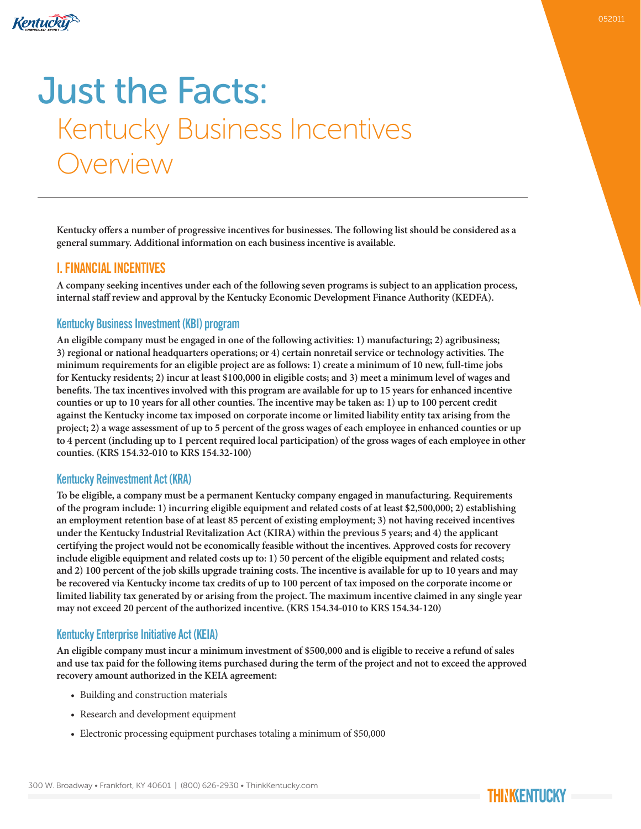

# Just the Facts: Kentucky Business Incentives Overview

**Kentucky offers a number of progressive incentives for businesses. The following list should be considered as a general summary. Additional information on each business incentive is available.**

## I. FINANCIAL INCENTIVES

**A company seeking incentives under each of the following seven programs is subject to an application process, internal staff review and approval by the Kentucky Economic Development Finance Authority (KEDFA).**

#### Kentucky Business Investment (KBI) program

**An eligible company must be engaged in one of the following activities: 1) manufacturing; 2) agribusiness; 3) regional or national headquarters operations; or 4) certain nonretail service or technology activities. The minimum requirements for an eligible project are as follows: 1) create a minimum of 10 new, full-time jobs for Kentucky residents; 2) incur at least \$100,000 in eligible costs; and 3) meet a minimum level of wages and benefits. The tax incentives involved with this program are available for up to 15 years for enhanced incentive counties or up to 10 years for all other counties. The incentive may be taken as: 1) up to 100 percent credit against the Kentucky income tax imposed on corporate income or limited liability entity tax arising from the project; 2) a wage assessment of up to 5 percent of the gross wages of each employee in enhanced counties or up to 4 percent (including up to 1 percent required local participation) of the gross wages of each employee in other counties. (KRS 154.32-010 to KRS 154.32-100)**

#### Kentucky Reinvestment Act (KRA)

**To be eligible, a company must be a permanent Kentucky company engaged in manufacturing. Requirements of the program include: 1) incurring eligible equipment and related costs of at least \$2,500,000; 2) establishing an employment retention base of at least 85 percent of existing employment; 3) not having received incentives under the Kentucky Industrial Revitalization Act (KIRA) within the previous 5 years; and 4) the applicant certifying the project would not be economically feasible without the incentives. Approved costs for recovery include eligible equipment and related costs up to: 1) 50 percent of the eligible equipment and related costs; and 2) 100 percent of the job skills upgrade training costs. The incentive is available for up to 10 years and may be recovered via Kentucky income tax credits of up to 100 percent of tax imposed on the corporate income or limited liability tax generated by or arising from the project. The maximum incentive claimed in any single year may not exceed 20 percent of the authorized incentive. (KRS 154.34-010 to KRS 154.34-120)**

#### Kentucky Enterprise Initiative Act (KEIA)

**An eligible company must incur a minimum investment of \$500,000 and is eligible to receive a refund of sales and use tax paid for the following items purchased during the term of the project and not to exceed the approved recovery amount authorized in the KEIA agreement:**

- Building and construction materials
- Research and development equipment
- Electronic processing equipment purchases totaling a minimum of \$50,000

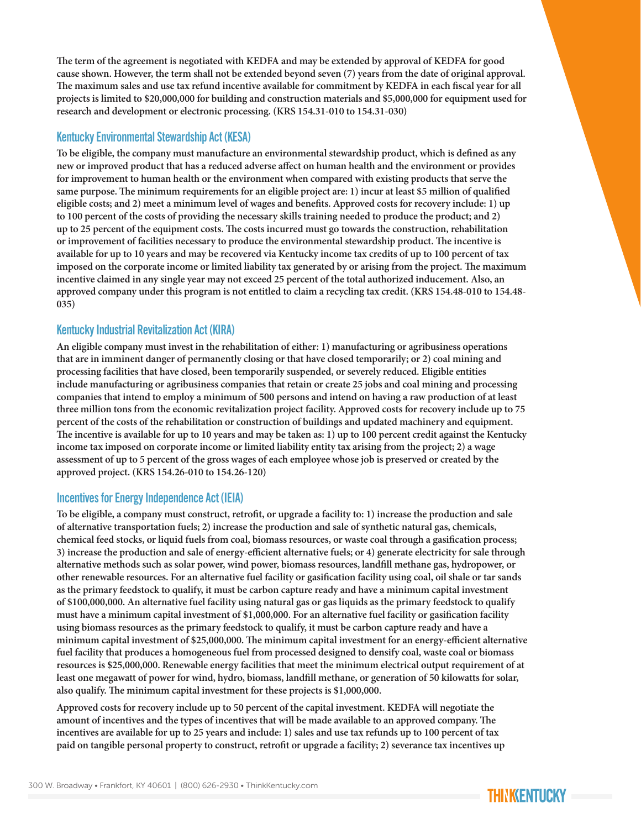**The term of the agreement is negotiated with KEDFA and may be extended by approval of KEDFA for good cause shown. However, the term shall not be extended beyond seven (7) years from the date of original approval. The maximum sales and use tax refund incentive available for commitment by KEDFA in each fiscal year for all projects is limited to \$20,000,000 for building and construction materials and \$5,000,000 for equipment used for research and development or electronic processing. (KRS 154.31-010 to 154.31-030)**

#### Kentucky Environmental Stewardship Act (KESA)

**To be eligible, the company must manufacture an environmental stewardship product, which is defined as any new or improved product that has a reduced adverse affect on human health and the environment or provides for improvement to human health or the environment when compared with existing products that serve the same purpose. The minimum requirements for an eligible project are: 1) incur at least \$5 million of qualified eligible costs; and 2) meet a minimum level of wages and benefits. Approved costs for recovery include: 1) up to 100 percent of the costs of providing the necessary skills training needed to produce the product; and 2) up to 25 percent of the equipment costs. The costs incurred must go towards the construction, rehabilitation or improvement of facilities necessary to produce the environmental stewardship product. The incentive is available for up to 10 years and may be recovered via Kentucky income tax credits of up to 100 percent of tax imposed on the corporate income or limited liability tax generated by or arising from the project. The maximum incentive claimed in any single year may not exceed 25 percent of the total authorized inducement. Also, an approved company under this program is not entitled to claim a recycling tax credit. (KRS 154.48-010 to 154.48- 035)**

#### Kentucky Industrial Revitalization Act (KIRA)

**An eligible company must invest in the rehabilitation of either: 1) manufacturing or agribusiness operations that are in imminent danger of permanently closing or that have closed temporarily; or 2) coal mining and processing facilities that have closed, been temporarily suspended, or severely reduced. Eligible entities include manufacturing or agribusiness companies that retain or create 25 jobs and coal mining and processing companies that intend to employ a minimum of 500 persons and intend on having a raw production of at least three million tons from the economic revitalization project facility. Approved costs for recovery include up to 75 percent of the costs of the rehabilitation or construction of buildings and updated machinery and equipment. The incentive is available for up to 10 years and may be taken as: 1) up to 100 percent credit against the Kentucky income tax imposed on corporate income or limited liability entity tax arising from the project; 2) a wage assessment of up to 5 percent of the gross wages of each employee whose job is preserved or created by the approved project. (KRS 154.26-010 to 154.26-120)**

#### Incentives for Energy Independence Act (IEIA)

**To be eligible, a company must construct, retrofit, or upgrade a facility to: 1) increase the production and sale of alternative transportation fuels; 2) increase the production and sale of synthetic natural gas, chemicals, chemical feed stocks, or liquid fuels from coal, biomass resources, or waste coal through a gasification process; 3) increase the production and sale of energy-efficient alternative fuels; or 4) generate electricity for sale through alternative methods such as solar power, wind power, biomass resources, landfill methane gas, hydropower, or other renewable resources. For an alternative fuel facility or gasification facility using coal, oil shale or tar sands as the primary feedstock to qualify, it must be carbon capture ready and have a minimum capital investment of \$100,000,000. An alternative fuel facility using natural gas or gas liquids as the primary feedstock to qualify must have a minimum capital investment of \$1,000,000. For an alternative fuel facility or gasification facility using biomass resources as the primary feedstock to qualify, it must be carbon capture ready and have a minimum capital investment of \$25,000,000. The minimum capital investment for an energy-efficient alternative fuel facility that produces a homogeneous fuel from processed designed to densify coal, waste coal or biomass resources is \$25,000,000. Renewable energy facilities that meet the minimum electrical output requirement of at least one megawatt of power for wind, hydro, biomass, landfill methane, or generation of 50 kilowatts for solar, also qualify. The minimum capital investment for these projects is \$1,000,000.**

**Approved costs for recovery include up to 50 percent of the capital investment. KEDFA will negotiate the amount of incentives and the types of incentives that will be made available to an approved company. The incentives are available for up to 25 years and include: 1) sales and use tax refunds up to 100 percent of tax paid on tangible personal property to construct, retrofit or upgrade a facility; 2) severance tax incentives up** 

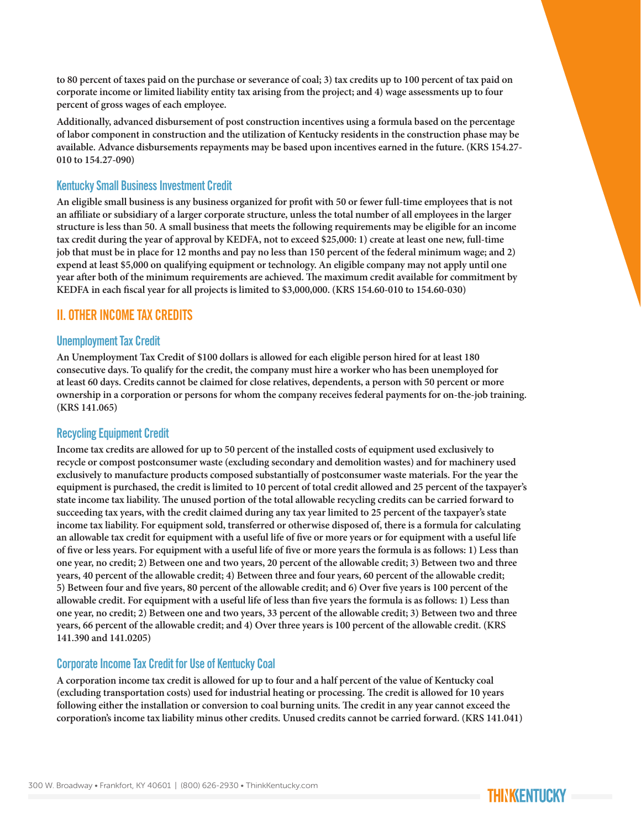**to 80 percent of taxes paid on the purchase or severance of coal; 3) tax credits up to 100 percent of tax paid on corporate income or limited liability entity tax arising from the project; and 4) wage assessments up to four percent of gross wages of each employee.** 

**Additionally, advanced disbursement of post construction incentives using a formula based on the percentage of labor component in construction and the utilization of Kentucky residents in the construction phase may be available. Advance disbursements repayments may be based upon incentives earned in the future. (KRS 154.27- 010 to 154.27-090)** 

## Kentucky Small Business Investment Credit

**An eligible small business is any business organized for profit with 50 or fewer full-time employees that is not an affiliate or subsidiary of a larger corporate structure, unless the total number of all employees in the larger structure is less than 50. A small business that meets the following requirements may be eligible for an income tax credit during the year of approval by KEDFA, not to exceed \$25,000: 1) create at least one new, full-time job that must be in place for 12 months and pay no less than 150 percent of the federal minimum wage; and 2) expend at least \$5,000 on qualifying equipment or technology. An eligible company may not apply until one year after both of the minimum requirements are achieved. The maximum credit available for commitment by KEDFA in each fiscal year for all projects is limited to \$3,000,000. (KRS 154.60-010 to 154.60-030)**

## II. OTHER INCOME TAX CREDITS

#### Unemployment Tax Credit

**An Unemployment Tax Credit of \$100 dollars is allowed for each eligible person hired for at least 180 consecutive days. To qualify for the credit, the company must hire a worker who has been unemployed for at least 60 days. Credits cannot be claimed for close relatives, dependents, a person with 50 percent or more ownership in a corporation or persons for whom the company receives federal payments for on-the-job training. (KRS 141.065)**

#### Recycling Equipment Credit

**Income tax credits are allowed for up to 50 percent of the installed costs of equipment used exclusively to recycle or compost postconsumer waste (excluding secondary and demolition wastes) and for machinery used exclusively to manufacture products composed substantially of postconsumer waste materials. For the year the equipment is purchased, the credit is limited to 10 percent of total credit allowed and 25 percent of the taxpayer's state income tax liability. The unused portion of the total allowable recycling credits can be carried forward to succeeding tax years, with the credit claimed during any tax year limited to 25 percent of the taxpayer's state income tax liability. For equipment sold, transferred or otherwise disposed of, there is a formula for calculating an allowable tax credit for equipment with a useful life of five or more years or for equipment with a useful life of five or less years. For equipment with a useful life of five or more years the formula is as follows: 1) Less than one year, no credit; 2) Between one and two years, 20 percent of the allowable credit; 3) Between two and three years, 40 percent of the allowable credit; 4) Between three and four years, 60 percent of the allowable credit; 5) Between four and five years, 80 percent of the allowable credit; and 6) Over five years is 100 percent of the allowable credit. For equipment with a useful life of less than five years the formula is as follows: 1) Less than one year, no credit; 2) Between one and two years, 33 percent of the allowable credit; 3) Between two and three years, 66 percent of the allowable credit; and 4) Over three years is 100 percent of the allowable credit. (KRS 141.390 and 141.0205)**

#### Corporate Income Tax Credit for Use of Kentucky Coal

**A corporation income tax credit is allowed for up to four and a half percent of the value of Kentucky coal (excluding transportation costs) used for industrial heating or processing. The credit is allowed for 10 years following either the installation or conversion to coal burning units. The credit in any year cannot exceed the corporation's income tax liability minus other credits. Unused credits cannot be carried forward. (KRS 141.041)**

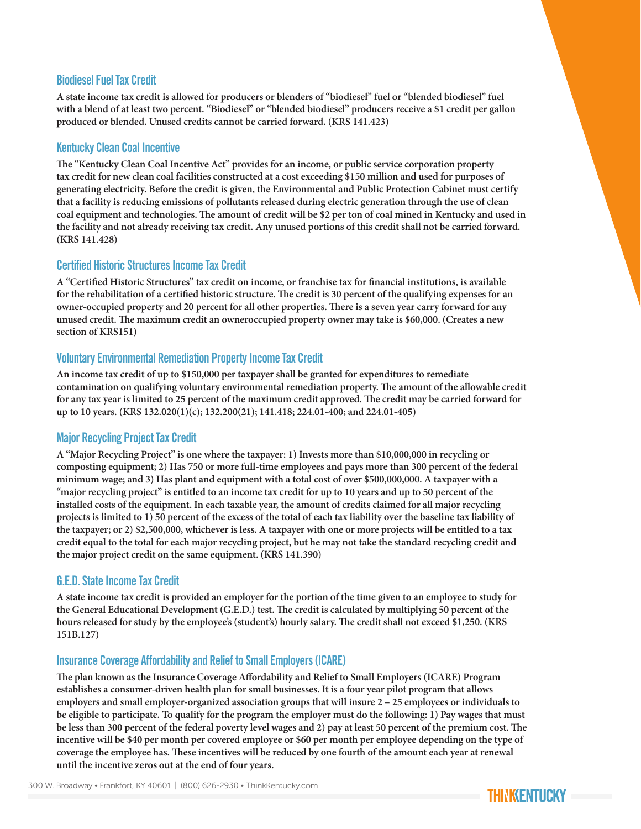#### Biodiesel Fuel Tax Credit

**A state income tax credit is allowed for producers or blenders of "biodiesel" fuel or "blended biodiesel" fuel with a blend of at least two percent. "Biodiesel" or "blended biodiesel" producers receive a \$1 credit per gallon produced or blended. Unused credits cannot be carried forward. (KRS 141.423)**

#### Kentucky Clean Coal Incentive

**The "Kentucky Clean Coal Incentive Act" provides for an income, or public service corporation property tax credit for new clean coal facilities constructed at a cost exceeding \$150 million and used for purposes of generating electricity. Before the credit is given, the Environmental and Public Protection Cabinet must certify that a facility is reducing emissions of pollutants released during electric generation through the use of clean coal equipment and technologies. The amount of credit will be \$2 per ton of coal mined in Kentucky and used in the facility and not already receiving tax credit. Any unused portions of this credit shall not be carried forward. (KRS 141.428)**

#### Certified Historic Structures Income Tax Credit

**A "Certified Historic Structures" tax credit on income, or franchise tax for financial institutions, is available for the rehabilitation of a certified historic structure. The credit is 30 percent of the qualifying expenses for an owner-occupied property and 20 percent for all other properties. There is a seven year carry forward for any unused credit. The maximum credit an owneroccupied property owner may take is \$60,000. (Creates a new section of KRS151)**

## Voluntary Environmental Remediation Property Income Tax Credit

**An income tax credit of up to \$150,000 per taxpayer shall be granted for expenditures to remediate contamination on qualifying voluntary environmental remediation property. The amount of the allowable credit for any tax year is limited to 25 percent of the maximum credit approved. The credit may be carried forward for up to 10 years. (KRS 132.020(1)(c); 132.200(21); 141.418; 224.01-400; and 224.01-405)**

## Major Recycling Project Tax Credit

**A "Major Recycling Project" is one where the taxpayer: 1) Invests more than \$10,000,000 in recycling or composting equipment; 2) Has 750 or more full-time employees and pays more than 300 percent of the federal minimum wage; and 3) Has plant and equipment with a total cost of over \$500,000,000. A taxpayer with a "major recycling project" is entitled to an income tax credit for up to 10 years and up to 50 percent of the installed costs of the equipment. In each taxable year, the amount of credits claimed for all major recycling projects is limited to 1) 50 percent of the excess of the total of each tax liability over the baseline tax liability of the taxpayer; or 2) \$2,500,000, whichever is less. A taxpayer with one or more projects will be entitled to a tax credit equal to the total for each major recycling project, but he may not take the standard recycling credit and the major project credit on the same equipment. (KRS 141.390)**

#### G.E.D. State Income Tax Credit

**A state income tax credit is provided an employer for the portion of the time given to an employee to study for the General Educational Development (G.E.D.) test. The credit is calculated by multiplying 50 percent of the hours released for study by the employee's (student's) hourly salary. The credit shall not exceed \$1,250. (KRS 151B.127)** 

## Insurance Coverage Affordability and Relief to Small Employers (ICARE)

**The plan known as the Insurance Coverage Affordability and Relief to Small Employers (ICARE) Program establishes a consumer-driven health plan for small businesses. It is a four year pilot program that allows employers and small employer-organized association groups that will insure 2 – 25 employees or individuals to be eligible to participate. To qualify for the program the employer must do the following: 1) Pay wages that must be less than 300 percent of the federal poverty level wages and 2) pay at least 50 percent of the premium cost. The incentive will be \$40 per month per covered employee or \$60 per month per employee depending on the type of coverage the employee has. These incentives will be reduced by one fourth of the amount each year at renewal until the incentive zeros out at the end of four years.**

300 W. Broadway • Frankfort, KY 40601 | (800) 626-2930 • ThinkKentucky.com

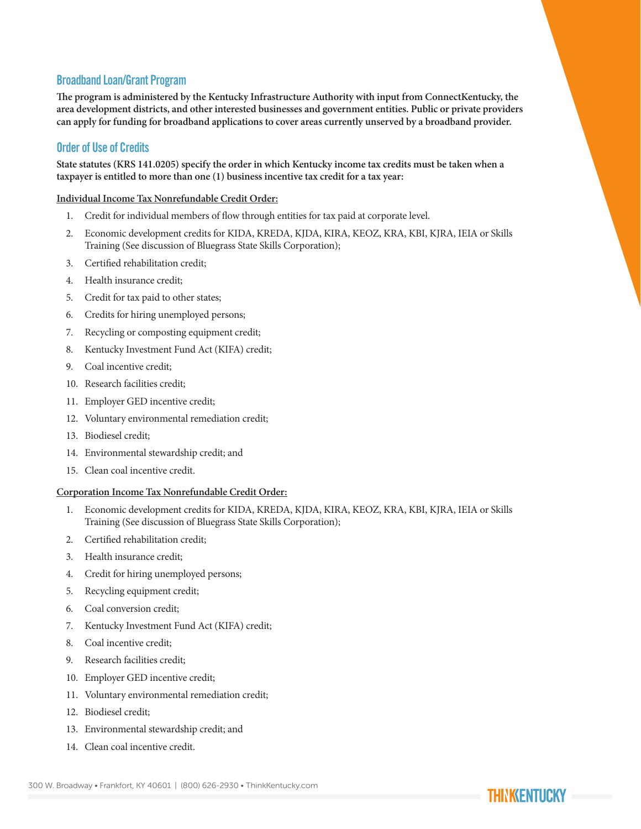## Broadband Loan/Grant Program

**The program is administered by the Kentucky Infrastructure Authority with input from ConnectKentucky, the area development districts, and other interested businesses and government entities. Public or private providers can apply for funding for broadband applications to cover areas currently unserved by a broadband provider.**

## Order of Use of Credits

**State statutes (KRS 141.0205) specify the order in which Kentucky income tax credits must be taken when a taxpayer is entitled to more than one (1) business incentive tax credit for a tax year:**

#### **Individual Income Tax Nonrefundable Credit Order:**

- 1. Credit for individual members of flow through entities for tax paid at corporate level.
- 2. Economic development credits for KIDA, KREDA, KJDA, KIRA, KEOZ, KRA, KBI, KJRA, IEIA or Skills Training (See discussion of Bluegrass State Skills Corporation);
- 3. Certified rehabilitation credit;
- 4. Health insurance credit;
- 5. Credit for tax paid to other states;
- 6. Credits for hiring unemployed persons;
- 7. Recycling or composting equipment credit;
- 8. Kentucky Investment Fund Act (KIFA) credit;
- 9. Coal incentive credit;
- 10. Research facilities credit;
- 11. Employer GED incentive credit;
- 12. Voluntary environmental remediation credit;
- 13. Biodiesel credit;
- 14. Environmental stewardship credit; and
- 15. Clean coal incentive credit.

#### **Corporation Income Tax Nonrefundable Credit Order:**

- 1. Economic development credits for KIDA, KREDA, KJDA, KIRA, KEOZ, KRA, KBI, KJRA, IEIA or Skills Training (See discussion of Bluegrass State Skills Corporation);
- 2. Certified rehabilitation credit;
- 3. Health insurance credit;
- 4. Credit for hiring unemployed persons;
- 5. Recycling equipment credit;
- 6. Coal conversion credit;
- 7. Kentucky Investment Fund Act (KIFA) credit;
- 8. Coal incentive credit;
- 9. Research facilities credit;
- 10. Employer GED incentive credit;
- 11. Voluntary environmental remediation credit;
- 12. Biodiesel credit;
- 13. Environmental stewardship credit; and
- 14. Clean coal incentive credit.

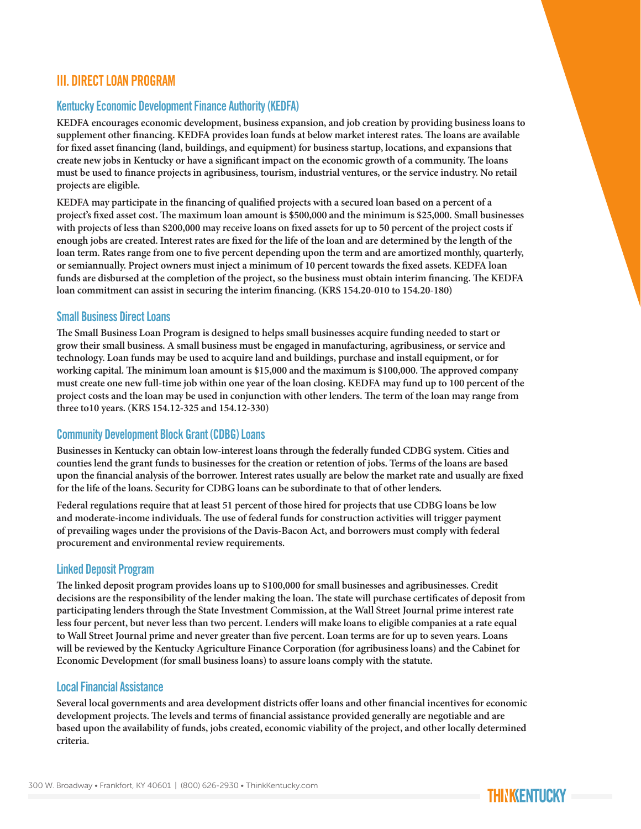## III. DIRECT LOAN PROGRAM

#### Kentucky Economic Development Finance Authority (KEDFA)

**KEDFA encourages economic development, business expansion, and job creation by providing business loans to supplement other financing. KEDFA provides loan funds at below market interest rates. The loans are available for fixed asset financing (land, buildings, and equipment) for business startup, locations, and expansions that create new jobs in Kentucky or have a significant impact on the economic growth of a community. The loans must be used to finance projects in agribusiness, tourism, industrial ventures, or the service industry. No retail projects are eligible.**

**KEDFA may participate in the financing of qualified projects with a secured loan based on a percent of a project's fixed asset cost. The maximum loan amount is \$500,000 and the minimum is \$25,000. Small businesses with projects of less than \$200,000 may receive loans on fixed assets for up to 50 percent of the project costs if enough jobs are created. Interest rates are fixed for the life of the loan and are determined by the length of the loan term. Rates range from one to five percent depending upon the term and are amortized monthly, quarterly, or semiannually. Project owners must inject a minimum of 10 percent towards the fixed assets. KEDFA loan funds are disbursed at the completion of the project, so the business must obtain interim financing. The KEDFA loan commitment can assist in securing the interim financing. (KRS 154.20-010 to 154.20-180)**

#### Small Business Direct Loans

**The Small Business Loan Program is designed to helps small businesses acquire funding needed to start or grow their small business. A small business must be engaged in manufacturing, agribusiness, or service and technology. Loan funds may be used to acquire land and buildings, purchase and install equipment, or for working capital. The minimum loan amount is \$15,000 and the maximum is \$100,000. The approved company must create one new full-time job within one year of the loan closing. KEDFA may fund up to 100 percent of the project costs and the loan may be used in conjunction with other lenders. The term of the loan may range from three to10 years. (KRS 154.12-325 and 154.12-330)** 

#### Community Development Block Grant (CDBG) Loans

**Businesses in Kentucky can obtain low-interest loans through the federally funded CDBG system. Cities and counties lend the grant funds to businesses for the creation or retention of jobs. Terms of the loans are based upon the financial analysis of the borrower. Interest rates usually are below the market rate and usually are fixed for the life of the loans. Security for CDBG loans can be subordinate to that of other lenders.**

**Federal regulations require that at least 51 percent of those hired for projects that use CDBG loans be low and moderate-income individuals. The use of federal funds for construction activities will trigger payment of prevailing wages under the provisions of the Davis-Bacon Act, and borrowers must comply with federal procurement and environmental review requirements.**

#### Linked Deposit Program

**The linked deposit program provides loans up to \$100,000 for small businesses and agribusinesses. Credit decisions are the responsibility of the lender making the loan. The state will purchase certificates of deposit from participating lenders through the State Investment Commission, at the Wall Street Journal prime interest rate less four percent, but never less than two percent. Lenders will make loans to eligible companies at a rate equal to Wall Street Journal prime and never greater than five percent. Loan terms are for up to seven years. Loans will be reviewed by the Kentucky Agriculture Finance Corporation (for agribusiness loans) and the Cabinet for Economic Development (for small business loans) to assure loans comply with the statute.**

#### Local Financial Assistance

**Several local governments and area development districts offer loans and other financial incentives for economic development projects. The levels and terms of financial assistance provided generally are negotiable and are based upon the availability of funds, jobs created, economic viability of the project, and other locally determined criteria.**

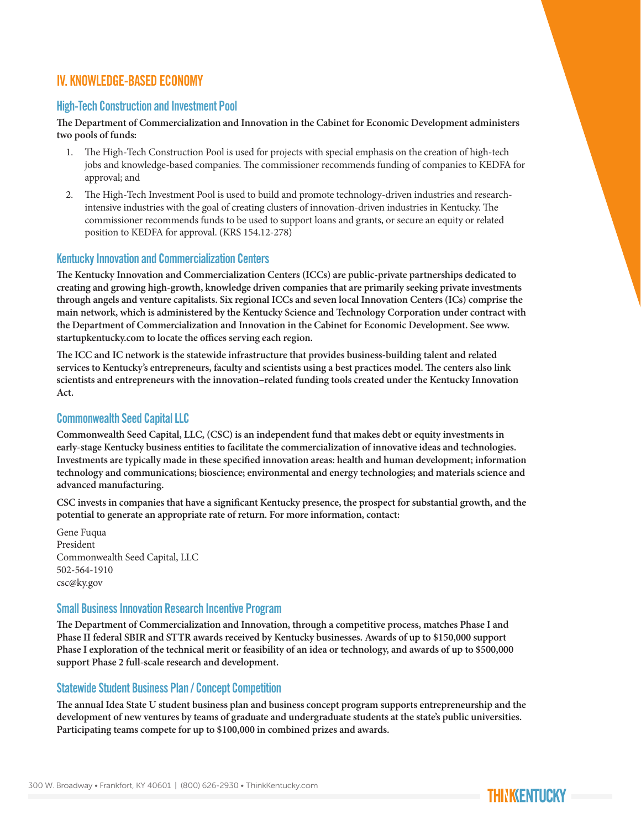## IV. KNOWLEDGE-BASED ECONOMY

#### High-Tech Construction and Investment Pool

**The Department of Commercialization and Innovation in the Cabinet for Economic Development administers two pools of funds:**

- 1. The High-Tech Construction Pool is used for projects with special emphasis on the creation of high-tech jobs and knowledge-based companies. The commissioner recommends funding of companies to KEDFA for approval; and
- 2. The High-Tech Investment Pool is used to build and promote technology-driven industries and researchintensive industries with the goal of creating clusters of innovation-driven industries in Kentucky. The commissioner recommends funds to be used to support loans and grants, or secure an equity or related position to KEDFA for approval. (KRS 154.12-278)

#### Kentucky Innovation and Commercialization Centers

**The Kentucky Innovation and Commercialization Centers (ICCs) are public-private partnerships dedicated to creating and growing high-growth, knowledge driven companies that are primarily seeking private investments through angels and venture capitalists. Six regional ICCs and seven local Innovation Centers (ICs) comprise the main network, which is administered by the Kentucky Science and Technology Corporation under contract with the Department of Commercialization and Innovation in the Cabinet for Economic Development. See www. startupkentucky.com to locate the offices serving each region.**

**The ICC and IC network is the statewide infrastructure that provides business-building talent and related services to Kentucky's entrepreneurs, faculty and scientists using a best practices model. The centers also link scientists and entrepreneurs with the innovation–related funding tools created under the Kentucky Innovation Act.**

#### Commonwealth Seed Capital LLC

**Commonwealth Seed Capital, LLC, (CSC) is an independent fund that makes debt or equity investments in early-stage Kentucky business entities to facilitate the commercialization of innovative ideas and technologies. Investments are typically made in these specified innovation areas: health and human development; information technology and communications; bioscience; environmental and energy technologies; and materials science and advanced manufacturing.**

**CSC invests in companies that have a significant Kentucky presence, the prospect for substantial growth, and the potential to generate an appropriate rate of return. For more information, contact:**

Gene Fuqua President Commonwealth Seed Capital, LLC 502-564-1910 csc@ky.gov

#### Small Business Innovation Research Incentive Program

**The Department of Commercialization and Innovation, through a competitive process, matches Phase I and Phase II federal SBIR and STTR awards received by Kentucky businesses. Awards of up to \$150,000 support Phase I exploration of the technical merit or feasibility of an idea or technology, and awards of up to \$500,000 support Phase 2 full-scale research and development.**

#### Statewide Student Business Plan / Concept Competition

**The annual Idea State U student business plan and business concept program supports entrepreneurship and the development of new ventures by teams of graduate and undergraduate students at the state's public universities. Participating teams compete for up to \$100,000 in combined prizes and awards.**

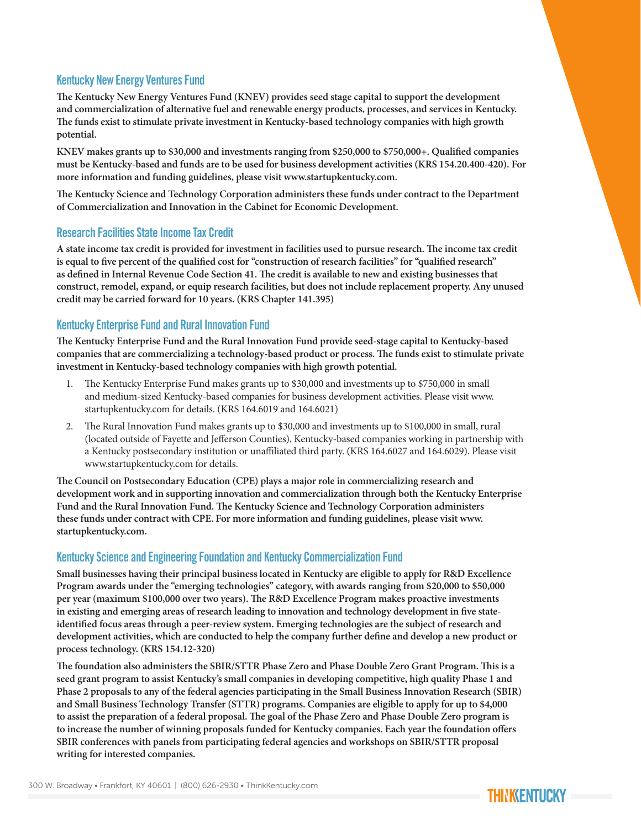## Kentucky New Energy Ventures Fund

**The Kentucky New Energy Ventures Fund (KNEV) provides seed stage capital to support the development and commercialization of alternative fuel and renewable energy products, processes, and services in Kentucky. The funds exist to stimulate private investment in Kentucky-based technology companies with high growth potential.** 

**KNEV makes grants up to \$30,000 and investments ranging from \$250,000 to \$750,000+. Qualified companies must be Kentucky-based and funds are to be used for business development activities (KRS 154.20.400-420). For more information and funding guidelines, please visit www.startupkentucky.com.**

**The Kentucky Science and Technology Corporation administers these funds under contract to the Department of Commercialization and Innovation in the Cabinet for Economic Development.**

#### Research Facilities State Income Tax Credit

**A state income tax credit is provided for investment in facilities used to pursue research. The income tax credit is equal to five percent of the qualified cost for "construction of research facilities" for "qualified research" as defined in Internal Revenue Code Section 41. The credit is available to new and existing businesses that construct, remodel, expand, or equip research facilities, but does not include replacement property. Any unused credit may be carried forward for 10 years. (KRS Chapter 141.395)**

#### Kentucky Enterprise Fund and Rural Innovation Fund

**The Kentucky Enterprise Fund and the Rural Innovation Fund provide seed-stage capital to Kentucky-based companies that are commercializing a technology-based product or process. The funds exist to stimulate private investment in Kentucky-based technology companies with high growth potential.**

- 1. The Kentucky Enterprise Fund makes grants up to \$30,000 and investments up to \$750,000 in small and medium-sized Kentucky-based companies for business development activities. Please visit www. startupkentucky.com for details. (KRS 164.6019 and 164.6021)
- 2. The Rural Innovation Fund makes grants up to \$30,000 and investments up to \$100,000 in small, rural (located outside of Fayette and Jefferson Counties), Kentucky-based companies working in partnership with a Kentucky postsecondary institution or unaffiliated third party. (KRS 164.6027 and 164.6029). Please visit www.startupkentucky.com for details.

**The Council on Postsecondary Education (CPE) plays a major role in commercializing research and development work and in supporting innovation and commercialization through both the Kentucky Enterprise Fund and the Rural Innovation Fund. The Kentucky Science and Technology Corporation administers these funds under contract with CPE. For more information and funding guidelines, please visit www. startupkentucky.com.**

## Kentucky Science and Engineering Foundation and Kentucky Commercialization Fund

**Small businesses having their principal business located in Kentucky are eligible to apply for R&D Excellence Program awards under the "emerging technologies" category, with awards ranging from \$20,000 to \$50,000 per year (maximum \$100,000 over two years). The R&D Excellence Program makes proactive investments in existing and emerging areas of research leading to innovation and technology development in five stateidentified focus areas through a peer-review system. Emerging technologies are the subject of research and development activities, which are conducted to help the company further define and develop a new product or process technology. (KRS 154.12-320)**

**The foundation also administers the SBIR/STTR Phase Zero and Phase Double Zero Grant Program. This is a seed grant program to assist Kentucky's small companies in developing competitive, high quality Phase 1 and Phase 2 proposals to any of the federal agencies participating in the Small Business Innovation Research (SBIR) and Small Business Technology Transfer (STTR) programs. Companies are eligible to apply for up to \$4,000 to assist the preparation of a federal proposal. The goal of the Phase Zero and Phase Double Zero program is to increase the number of winning proposals funded for Kentucky companies. Each year the foundation offers SBIR conferences with panels from participating federal agencies and workshops on SBIR/STTR proposal writing for interested companies.**

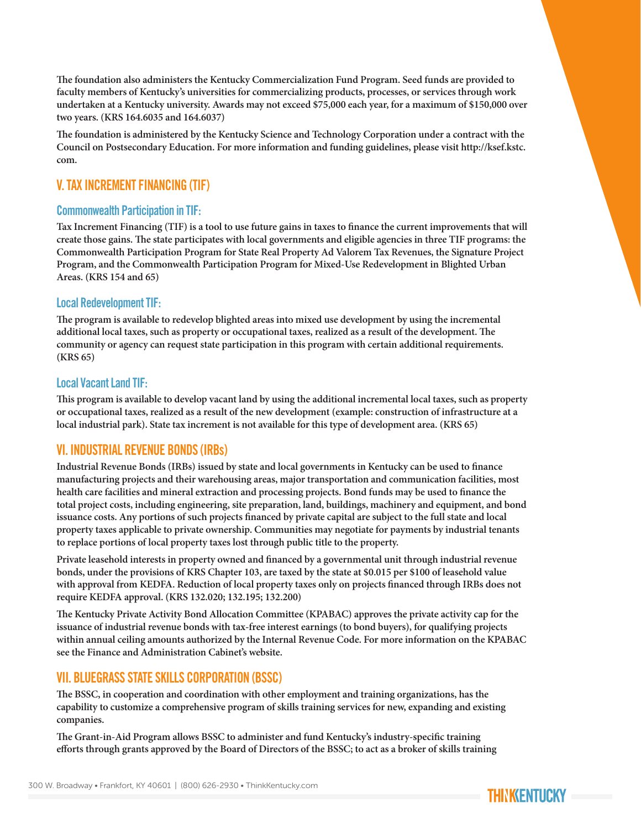**The foundation also administers the Kentucky Commercialization Fund Program. Seed funds are provided to faculty members of Kentucky's universities for commercializing products, processes, or services through work undertaken at a Kentucky university. Awards may not exceed \$75,000 each year, for a maximum of \$150,000 over two years. (KRS 164.6035 and 164.6037)** 

**The foundation is administered by the Kentucky Science and Technology Corporation under a contract with the Council on Postsecondary Education. For more information and funding guidelines, please visit http://ksef.kstc. com.**

## V. TAX INCREMENT FINANCING (TIF)

#### Commonwealth Participation in TIF:

**Tax Increment Financing (TIF) is a tool to use future gains in taxes to finance the current improvements that will create those gains. The state participates with local governments and eligible agencies in three TIF programs: the Commonwealth Participation Program for State Real Property Ad Valorem Tax Revenues, the Signature Project Program, and the Commonwealth Participation Program for Mixed-Use Redevelopment in Blighted Urban Areas. (KRS 154 and 65)**

#### Local Redevelopment TIF:

**The program is available to redevelop blighted areas into mixed use development by using the incremental additional local taxes, such as property or occupational taxes, realized as a result of the development. The community or agency can request state participation in this program with certain additional requirements. (KRS 65)**

#### Local Vacant Land TIF:

**This program is available to develop vacant land by using the additional incremental local taxes, such as property or occupational taxes, realized as a result of the new development (example: construction of infrastructure at a local industrial park). State tax increment is not available for this type of development area. (KRS 65)**

## VI. INDUSTRIAL REVENUE BONDS (IRBs)

**Industrial Revenue Bonds (IRBs) issued by state and local governments in Kentucky can be used to finance manufacturing projects and their warehousing areas, major transportation and communication facilities, most health care facilities and mineral extraction and processing projects. Bond funds may be used to finance the total project costs, including engineering, site preparation, land, buildings, machinery and equipment, and bond issuance costs. Any portions of such projects financed by private capital are subject to the full state and local property taxes applicable to private ownership. Communities may negotiate for payments by industrial tenants to replace portions of local property taxes lost through public title to the property.**

**Private leasehold interests in property owned and financed by a governmental unit through industrial revenue bonds, under the provisions of KRS Chapter 103, are taxed by the state at \$0.015 per \$100 of leasehold value with approval from KEDFA. Reduction of local property taxes only on projects financed through IRBs does not require KEDFA approval. (KRS 132.020; 132.195; 132.200)**

**The Kentucky Private Activity Bond Allocation Committee (KPABAC) approves the private activity cap for the issuance of industrial revenue bonds with tax-free interest earnings (to bond buyers), for qualifying projects within annual ceiling amounts authorized by the Internal Revenue Code. For more information on the KPABAC see the Finance and Administration Cabinet's website.**

# VII. BLUEGRASS STATE SKILLS CORPORATION (BSSC)

**The BSSC, in cooperation and coordination with other employment and training organizations, has the capability to customize a comprehensive program of skills training services for new, expanding and existing companies.**

**The Grant-in-Aid Program allows BSSC to administer and fund Kentucky's industry-specific training efforts through grants approved by the Board of Directors of the BSSC; to act as a broker of skills training** 

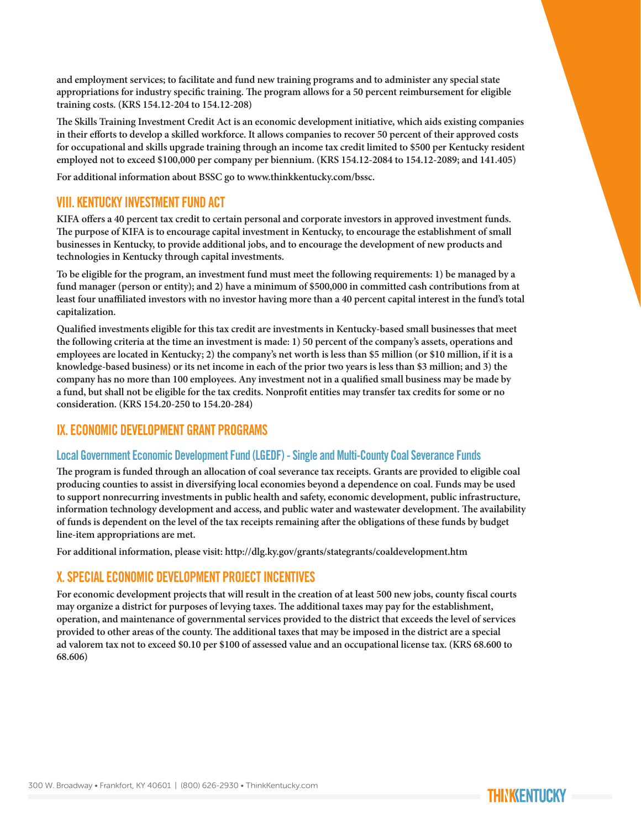**and employment services; to facilitate and fund new training programs and to administer any special state appropriations for industry specific training. The program allows for a 50 percent reimbursement for eligible training costs. (KRS 154.12-204 to 154.12-208)**

**The Skills Training Investment Credit Act is an economic development initiative, which aids existing companies in their efforts to develop a skilled workforce. It allows companies to recover 50 percent of their approved costs for occupational and skills upgrade training through an income tax credit limited to \$500 per Kentucky resident employed not to exceed \$100,000 per company per biennium. (KRS 154.12-2084 to 154.12-2089; and 141.405)**

**For additional information about BSSC go to www.thinkkentucky.com/bssc.**

# VIII. KENTUCKY INVESTMENT FUND ACT

**KIFA offers a 40 percent tax credit to certain personal and corporate investors in approved investment funds. The purpose of KIFA is to encourage capital investment in Kentucky, to encourage the establishment of small businesses in Kentucky, to provide additional jobs, and to encourage the development of new products and technologies in Kentucky through capital investments.**

**To be eligible for the program, an investment fund must meet the following requirements: 1) be managed by a fund manager (person or entity); and 2) have a minimum of \$500,000 in committed cash contributions from at least four unaffiliated investors with no investor having more than a 40 percent capital interest in the fund's total capitalization.**

**Qualified investments eligible for this tax credit are investments in Kentucky-based small businesses that meet the following criteria at the time an investment is made: 1) 50 percent of the company's assets, operations and employees are located in Kentucky; 2) the company's net worth is less than \$5 million (or \$10 million, if it is a knowledge-based business) or its net income in each of the prior two years is less than \$3 million; and 3) the company has no more than 100 employees. Any investment not in a qualified small business may be made by a fund, but shall not be eligible for the tax credits. Nonprofit entities may transfer tax credits for some or no consideration. (KRS 154.20-250 to 154.20-284)**

# IX. ECONOMIC DEVELOPMENT GRANT PROGRAMS

## Local Government Economic Development Fund (LGEDF) - Single and Multi-County Coal Severance Funds

**The program is funded through an allocation of coal severance tax receipts. Grants are provided to eligible coal producing counties to assist in diversifying local economies beyond a dependence on coal. Funds may be used to support nonrecurring investments in public health and safety, economic development, public infrastructure, information technology development and access, and public water and wastewater development. The availability of funds is dependent on the level of the tax receipts remaining after the obligations of these funds by budget line-item appropriations are met.**

**For additional information, please visit: http://dlg.ky.gov/grants/stategrants/coaldevelopment.htm**

# X. SPECIAL ECONOMIC DEVELOPMENT PROJECT INCENTIVES

**For economic development projects that will result in the creation of at least 500 new jobs, county fiscal courts may organize a district for purposes of levying taxes. The additional taxes may pay for the establishment, operation, and maintenance of governmental services provided to the district that exceeds the level of services provided to other areas of the county. The additional taxes that may be imposed in the district are a special ad valorem tax not to exceed \$0.10 per \$100 of assessed value and an occupational license tax. (KRS 68.600 to 68.606)**

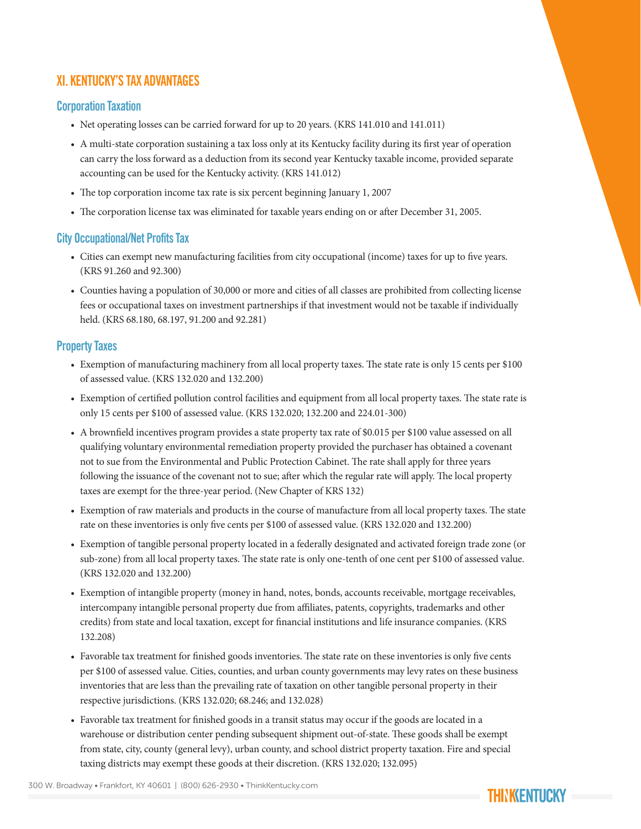# XI. KENTUCKY'S TAX ADVANTAGES

## Corporation Taxation

- Net operating losses can be carried forward for up to 20 years. (KRS 141.010 and 141.011)
- A multi-state corporation sustaining a tax loss only at its Kentucky facility during its first year of operation can carry the loss forward as a deduction from its second year Kentucky taxable income, provided separate accounting can be used for the Kentucky activity. (KRS 141.012)
- The top corporation income tax rate is six percent beginning January 1, 2007
- The corporation license tax was eliminated for taxable years ending on or after December 31, 2005.

## City Occupational/Net Profits Tax

- Cities can exempt new manufacturing facilities from city occupational (income) taxes for up to five years. (KRS 91.260 and 92.300)
- Counties having a population of 30,000 or more and cities of all classes are prohibited from collecting license fees or occupational taxes on investment partnerships if that investment would not be taxable if individually held. (KRS 68.180, 68.197, 91.200 and 92.281)

## Property Taxes

- Exemption of manufacturing machinery from all local property taxes. The state rate is only 15 cents per \$100 of assessed value. (KRS 132.020 and 132.200)
- Exemption of certified pollution control facilities and equipment from all local property taxes. The state rate is only 15 cents per \$100 of assessed value. (KRS 132.020; 132.200 and 224.01-300)
- A brownfield incentives program provides a state property tax rate of \$0.015 per \$100 value assessed on all qualifying voluntary environmental remediation property provided the purchaser has obtained a covenant not to sue from the Environmental and Public Protection Cabinet. The rate shall apply for three years following the issuance of the covenant not to sue; after which the regular rate will apply. The local property taxes are exempt for the three-year period. (New Chapter of KRS 132)
- Exemption of raw materials and products in the course of manufacture from all local property taxes. The state rate on these inventories is only five cents per \$100 of assessed value. (KRS 132.020 and 132.200)
- Exemption of tangible personal property located in a federally designated and activated foreign trade zone (or sub-zone) from all local property taxes. The state rate is only one-tenth of one cent per \$100 of assessed value. (KRS 132.020 and 132.200)
- Exemption of intangible property (money in hand, notes, bonds, accounts receivable, mortgage receivables, intercompany intangible personal property due from affiliates, patents, copyrights, trademarks and other credits) from state and local taxation, except for financial institutions and life insurance companies. (KRS 132.208)
- Favorable tax treatment for finished goods inventories. The state rate on these inventories is only five cents per \$100 of assessed value. Cities, counties, and urban county governments may levy rates on these business inventories that are less than the prevailing rate of taxation on other tangible personal property in their respective jurisdictions. (KRS 132.020; 68.246; and 132.028)
- Favorable tax treatment for finished goods in a transit status may occur if the goods are located in a warehouse or distribution center pending subsequent shipment out-of-state. These goods shall be exempt from state, city, county (general levy), urban county, and school district property taxation. Fire and special taxing districts may exempt these goods at their discretion. (KRS 132.020; 132.095)

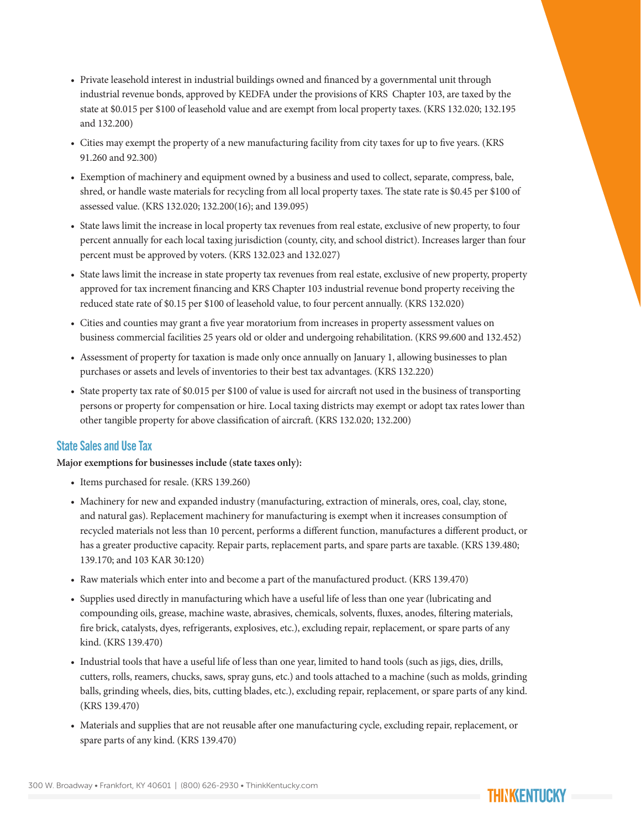- Private leasehold interest in industrial buildings owned and financed by a governmental unit through industrial revenue bonds, approved by KEDFA under the provisions of KRS Chapter 103, are taxed by the state at \$0.015 per \$100 of leasehold value and are exempt from local property taxes. (KRS 132.020; 132.195 and 132.200)
- Cities may exempt the property of a new manufacturing facility from city taxes for up to five years. (KRS 91.260 and 92.300)
- Exemption of machinery and equipment owned by a business and used to collect, separate, compress, bale, shred, or handle waste materials for recycling from all local property taxes. The state rate is \$0.45 per \$100 of assessed value. (KRS 132.020; 132.200(16); and 139.095)
- State laws limit the increase in local property tax revenues from real estate, exclusive of new property, to four percent annually for each local taxing jurisdiction (county, city, and school district). Increases larger than four percent must be approved by voters. (KRS 132.023 and 132.027)
- State laws limit the increase in state property tax revenues from real estate, exclusive of new property, property approved for tax increment financing and KRS Chapter 103 industrial revenue bond property receiving the reduced state rate of \$0.15 per \$100 of leasehold value, to four percent annually. (KRS 132.020)
- Cities and counties may grant a five year moratorium from increases in property assessment values on business commercial facilities 25 years old or older and undergoing rehabilitation. (KRS 99.600 and 132.452)
- Assessment of property for taxation is made only once annually on January 1, allowing businesses to plan purchases or assets and levels of inventories to their best tax advantages. (KRS 132.220)
- State property tax rate of \$0.015 per \$100 of value is used for aircraft not used in the business of transporting persons or property for compensation or hire. Local taxing districts may exempt or adopt tax rates lower than other tangible property for above classification of aircraft. (KRS 132.020; 132.200)

#### State Sales and Use Tax

#### **Major exemptions for businesses include (state taxes only):**

- Items purchased for resale. (KRS 139.260)
- Machinery for new and expanded industry (manufacturing, extraction of minerals, ores, coal, clay, stone, and natural gas). Replacement machinery for manufacturing is exempt when it increases consumption of recycled materials not less than 10 percent, performs a different function, manufactures a different product, or has a greater productive capacity. Repair parts, replacement parts, and spare parts are taxable. (KRS 139.480; 139.170; and 103 KAR 30:120)
- Raw materials which enter into and become a part of the manufactured product. (KRS 139.470)
- Supplies used directly in manufacturing which have a useful life of less than one year (lubricating and compounding oils, grease, machine waste, abrasives, chemicals, solvents, fluxes, anodes, filtering materials, fire brick, catalysts, dyes, refrigerants, explosives, etc.), excluding repair, replacement, or spare parts of any kind. (KRS 139.470)
- Industrial tools that have a useful life of less than one year, limited to hand tools (such as jigs, dies, drills, cutters, rolls, reamers, chucks, saws, spray guns, etc.) and tools attached to a machine (such as molds, grinding balls, grinding wheels, dies, bits, cutting blades, etc.), excluding repair, replacement, or spare parts of any kind. (KRS 139.470)
- Materials and supplies that are not reusable after one manufacturing cycle, excluding repair, replacement, or spare parts of any kind. (KRS 139.470)

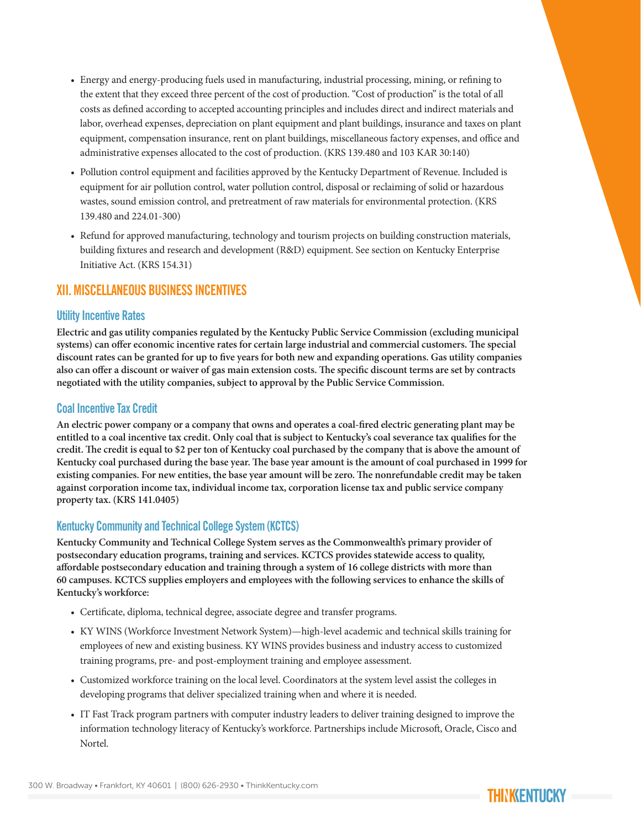- Energy and energy-producing fuels used in manufacturing, industrial processing, mining, or refining to the extent that they exceed three percent of the cost of production. "Cost of production" is the total of all costs as defined according to accepted accounting principles and includes direct and indirect materials and labor, overhead expenses, depreciation on plant equipment and plant buildings, insurance and taxes on plant equipment, compensation insurance, rent on plant buildings, miscellaneous factory expenses, and office and administrative expenses allocated to the cost of production. (KRS 139.480 and 103 KAR 30:140)
- Pollution control equipment and facilities approved by the Kentucky Department of Revenue. Included is equipment for air pollution control, water pollution control, disposal or reclaiming of solid or hazardous wastes, sound emission control, and pretreatment of raw materials for environmental protection. (KRS 139.480 and 224.01-300)
- Refund for approved manufacturing, technology and tourism projects on building construction materials, building fixtures and research and development (R&D) equipment. See section on Kentucky Enterprise Initiative Act. (KRS 154.31)

# XII. MISCELLANEOUS BUSINESS INCENTIVES

#### Utility Incentive Rates

**Electric and gas utility companies regulated by the Kentucky Public Service Commission (excluding municipal systems) can offer economic incentive rates for certain large industrial and commercial customers. The special discount rates can be granted for up to five years for both new and expanding operations. Gas utility companies also can offer a discount or waiver of gas main extension costs. The specific discount terms are set by contracts negotiated with the utility companies, subject to approval by the Public Service Commission.**

#### Coal Incentive Tax Credit

**An electric power company or a company that owns and operates a coal-fired electric generating plant may be entitled to a coal incentive tax credit. Only coal that is subject to Kentucky's coal severance tax qualifies for the credit. The credit is equal to \$2 per ton of Kentucky coal purchased by the company that is above the amount of Kentucky coal purchased during the base year. The base year amount is the amount of coal purchased in 1999 for existing companies. For new entities, the base year amount will be zero. The nonrefundable credit may be taken against corporation income tax, individual income tax, corporation license tax and public service company property tax. (KRS 141.0405)**

## Kentucky Community and Technical College System (KCTCS)

**Kentucky Community and Technical College System serves as the Commonwealth's primary provider of postsecondary education programs, training and services. KCTCS provides statewide access to quality, affordable postsecondary education and training through a system of 16 college districts with more than 60 campuses. KCTCS supplies employers and employees with the following services to enhance the skills of Kentucky's workforce:**

- Certificate, diploma, technical degree, associate degree and transfer programs.
- KY WINS (Workforce Investment Network System)—high-level academic and technical skills training for employees of new and existing business. KY WINS provides business and industry access to customized training programs, pre- and post-employment training and employee assessment.
- Customized workforce training on the local level. Coordinators at the system level assist the colleges in developing programs that deliver specialized training when and where it is needed.
- IT Fast Track program partners with computer industry leaders to deliver training designed to improve the information technology literacy of Kentucky's workforce. Partnerships include Microsoft, Oracle, Cisco and Nortel.